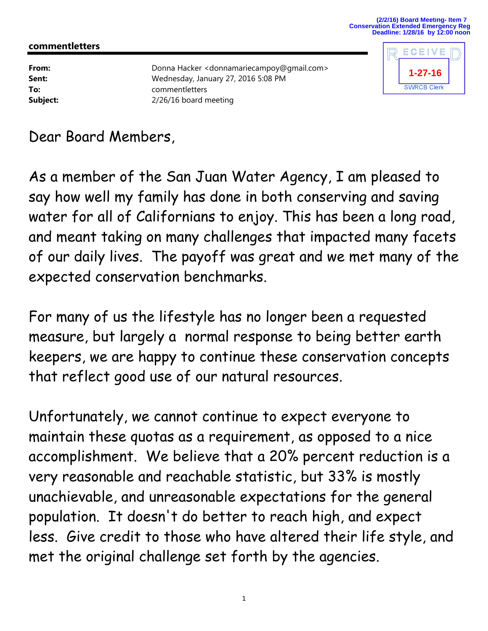## **commentletters**

**From:** Donna Hacker <donnamariecampoy@gmail.com> **Sent:** Wednesday, January 27, 2016 5:08 PM **To:** commentletters **Subject:** 2/26/16 board meeting



Dear Board Members,

As a member of the San Juan Water Agency, I am pleased to say how well my family has done in both conserving and saving water for all of Californians to enjoy. This has been a long road, and meant taking on many challenges that impacted many facets of our daily lives. The payoff was great and we met many of the expected conservation benchmarks.

For many of us the lifestyle has no longer been a requested measure, but largely a normal response to being better earth keepers, we are happy to continue these conservation concepts that reflect good use of our natural resources.

Unfortunately, we cannot continue to expect everyone to maintain these quotas as a requirement, as opposed to a nice accomplishment. We believe that a 20% percent reduction is a very reasonable and reachable statistic, but 33% is mostly unachievable, and unreasonable expectations for the general population. It doesn't do better to reach high, and expect less. Give credit to those who have altered their life style, and met the original challenge set forth by the agencies.